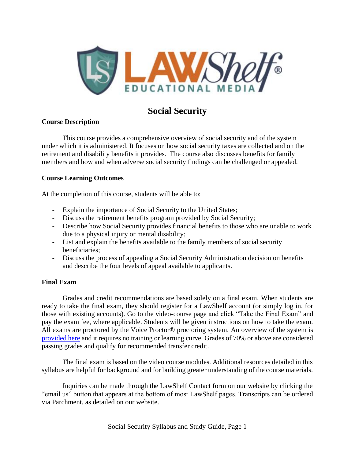

# **Social Security**

### **Course Description**

This course provides a comprehensive overview of social security and of the system under which it is administered. It focuses on how social security taxes are collected and on the retirement and disability benefits it provides. The course also discusses benefits for family members and how and when adverse social security findings can be challenged or appealed.

### **Course Learning Outcomes**

At the completion of this course, students will be able to:

- Explain the importance of Social Security to the United States;
- Discuss the retirement benefits program provided by Social Security;
- Describe how Social Security provides financial benefits to those who are unable to work due to a physical injury or mental disability;
- List and explain the benefits available to the family members of social security beneficiaries;
- Discuss the process of appealing a Social Security Administration decision on benefits and describe the four levels of appeal available to applicants.

### **Final Exam**

Grades and credit recommendations are based solely on a final exam. When students are ready to take the final exam, they should register for a LawShelf account (or simply log in, for those with existing accounts). Go to the video-course page and click "Take the Final Exam" and pay the exam fee, where applicable. Students will be given instructions on how to take the exam. All exams are proctored by the Voice Proctor<sup>®</sup> proctoring system. An overview of the system is [provided here](https://lawshelf.com/voiceproctorvideo) and it requires no training or learning curve. Grades of 70% or above are considered passing grades and qualify for recommended transfer credit.

The final exam is based on the video course modules. Additional resources detailed in this syllabus are helpful for background and for building greater understanding of the course materials.

Inquiries can be made through the LawShelf Contact form on our website by clicking the "email us" button that appears at the bottom of most LawShelf pages. Transcripts can be ordered via Parchment, as detailed on our website.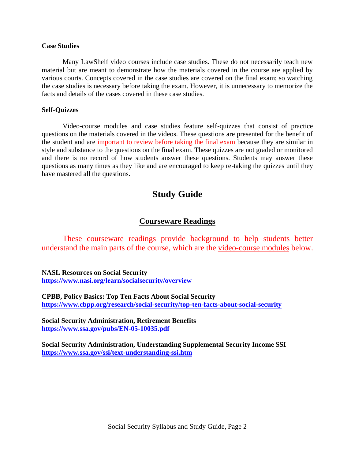#### **Case Studies**

Many LawShelf video courses include case studies. These do not necessarily teach new material but are meant to demonstrate how the materials covered in the course are applied by various courts. Concepts covered in the case studies are covered on the final exam; so watching the case studies is necessary before taking the exam. However, it is unnecessary to memorize the facts and details of the cases covered in these case studies.

#### **Self-Quizzes**

Video-course modules and case studies feature self-quizzes that consist of practice questions on the materials covered in the videos. These questions are presented for the benefit of the student and are important to review before taking the final exam because they are similar in style and substance to the questions on the final exam. These quizzes are not graded or monitored and there is no record of how students answer these questions. Students may answer these questions as many times as they like and are encouraged to keep re-taking the quizzes until they have mastered all the questions.

# **Study Guide**

## **Courseware Readings**

These courseware readings provide background to help students better understand the main parts of the course, which are the video-course modules below.

**NASL Resources on Social Security <https://www.nasi.org/learn/socialsecurity/overview>**

**CPBB, Policy Basics: Top Ten Facts About Social Security <https://www.cbpp.org/research/social-security/top-ten-facts-about-social-security>**

**Social Security Administration, Retirement Benefits <https://www.ssa.gov/pubs/EN-05-10035.pdf>**

**Social Security Administration, Understanding Supplemental Security Income SSI <https://www.ssa.gov/ssi/text-understanding-ssi.htm>**